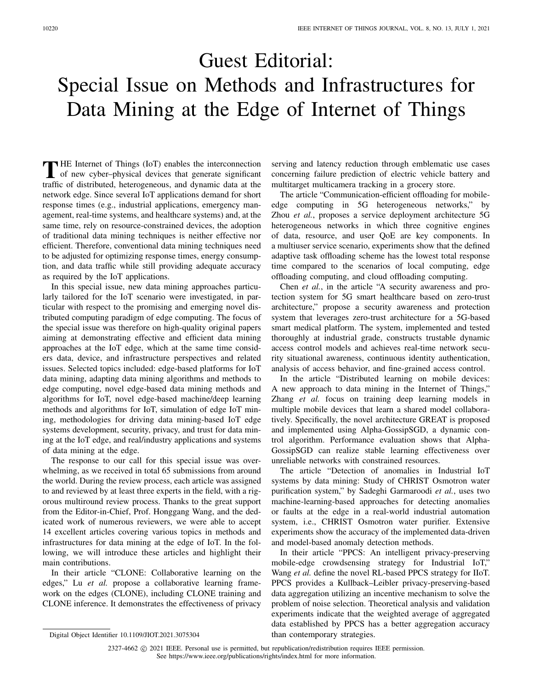## Guest Editorial: Special Issue on Methods and Infrastructures for Data Mining at the Edge of Internet of Things

**T** HE Internet of Things (IoT) enables the interconnection of new cyber–physical devices that generate significant traffic of distributed, heterogeneous, and dynamic data at the network edge. Since several IoT applications demand for short response times (e.g., industrial applications, emergency management, real-time systems, and healthcare systems) and, at the same time, rely on resource-constrained devices, the adoption of traditional data mining techniques is neither effective nor efficient. Therefore, conventional data mining techniques need to be adjusted for optimizing response times, energy consumption, and data traffic while still providing adequate accuracy as required by the IoT applications.

In this special issue, new data mining approaches particularly tailored for the IoT scenario were investigated, in particular with respect to the promising and emerging novel distributed computing paradigm of edge computing. The focus of the special issue was therefore on high-quality original papers aiming at demonstrating effective and efficient data mining approaches at the IoT edge, which at the same time considers data, device, and infrastructure perspectives and related issues. Selected topics included: edge-based platforms for IoT data mining, adapting data mining algorithms and methods to edge computing, novel edge-based data mining methods and algorithms for IoT, novel edge-based machine/deep learning methods and algorithms for IoT, simulation of edge IoT mining, methodologies for driving data mining-based IoT edge systems development, security, privacy, and trust for data mining at the IoT edge, and real/industry applications and systems of data mining at the edge.

The response to our call for this special issue was overwhelming, as we received in total 65 submissions from around the world. During the review process, each article was assigned to and reviewed by at least three experts in the field, with a rigorous multiround review process. Thanks to the great support from the Editor-in-Chief, Prof. Honggang Wang, and the dedicated work of numerous reviewers, we were able to accept 14 excellent articles covering various topics in methods and infrastructures for data mining at the edge of IoT. In the following, we will introduce these articles and highlight their main contributions.

In their article "CLONE: Collaborative learning on the edges," Lu et al. propose a collaborative learning framework on the edges (CLONE), including CLONE training and CLONE inference. It demonstrates the effectiveness of privacy serving and latency reduction through emblematic use cases concerning failure prediction of electric vehicle battery and multitarget multicamera tracking in a grocery store.

The article "Communication-efficient offloading for mobileedge computing in 5G heterogeneous networks," by Zhou *et al.*, proposes a service deployment architecture 5G heterogeneous networks in which three cognitive engines of data, resource, and user QoE are key components. In a multiuser service scenario, experiments show that the defined adaptive task offloading scheme has the lowest total response time compared to the scenarios of local computing, edge offloading computing, and cloud offloading computing.

Chen *et al.*, in the article "A security awareness and protection system for 5G smart healthcare based on zero-trust architecture," propose a security awareness and protection system that leverages zero-trust architecture for a 5G-based smart medical platform. The system, implemented and tested thoroughly at industrial grade, constructs trustable dynamic access control models and achieves real-time network security situational awareness, continuous identity authentication, analysis of access behavior, and fine-grained access control.

In the article "Distributed learning on mobile devices: A new approach to data mining in the Internet of Things," Zhang *et al.* focus on training deep learning models in multiple mobile devices that learn a shared model collaboratively. Specifically, the novel architecture GREAT is proposed and implemented using Alpha-GossipSGD, a dynamic control algorithm. Performance evaluation shows that Alpha-GossipSGD can realize stable learning effectiveness over unreliable networks with constrained resources.

The article "Detection of anomalies in Industrial IoT systems by data mining: Study of CHRIST Osmotron water purification system," by Sadeghi Garmaroodi *et al.*, uses two machine-learning-based approaches for detecting anomalies or faults at the edge in a real-world industrial automation system, i.e., CHRIST Osmotron water purifier. Extensive experiments show the accuracy of the implemented data-driven and model-based anomaly detection methods.

In their article "PPCS: An intelligent privacy-preserving mobile-edge crowdsensing strategy for Industrial IoT," Wang *et al.* define the novel RL-based PPCS strategy for IIoT. PPCS provides a Kullback–Leibler privacy-preserving-based data aggregation utilizing an incentive mechanism to solve the problem of noise selection. Theoretical analysis and validation experiments indicate that the weighted average of aggregated data established by PPCS has a better aggregation accuracy than contemporary strategies.

Digital Object Identifier 10.1109/JIOT.2021.3075304

<sup>2327-4662 © 2021</sup> IEEE. Personal use is permitted, but republication/redistribution requires IEEE permission. See https://www.ieee.org/publications/rights/index.html for more information.